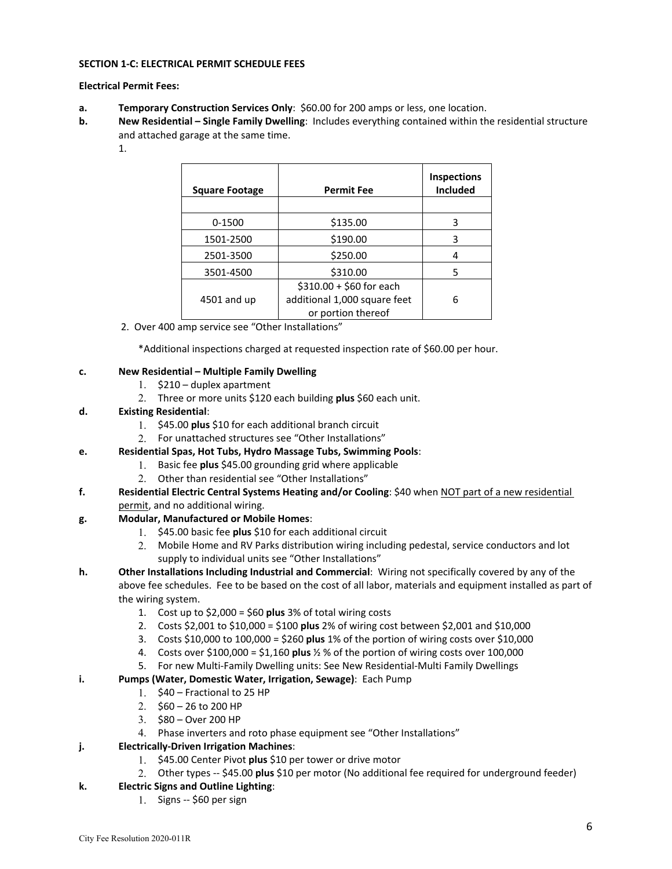#### **SECTION 1-C: ELECTRICAL PERMIT SCHEDULE FEES**

#### **Electrical Permit Fees:**

- **a. Temporary Construction Services Only**: \$60.00 for 200 amps or less, one location.
- **b. New Residential Single Family Dwelling**: Includes everything contained within the residential structure and attached garage at the same time.
	- 1.

| <b>Square Footage</b> | <b>Permit Fee</b>            | Inspections<br><b>Included</b> |
|-----------------------|------------------------------|--------------------------------|
| 0-1500                | \$135.00                     | 3                              |
| 1501-2500             | \$190.00                     | 3                              |
| 2501-3500             | \$250.00                     | 4                              |
| 3501-4500             | \$310.00                     | 5                              |
|                       | $$310.00 + $60$ for each     |                                |
| $4501$ and up         | additional 1,000 square feet | 6                              |
|                       | or portion thereof           |                                |

2. Over 400 amp service see "Other Installations"

\*Additional inspections charged at requested inspection rate of \$60.00 per hour.

### **c. New Residential – Multiple Family Dwelling**

- 1. \$210 duplex apartment
- 2. Three or more units \$120 each building **plus** \$60 each unit.
- **d. Existing Residential**:
	- 1. \$45.00 **plus** \$10 for each additional branch circuit
	- 2. For unattached structures see "Other Installations"
- **e. Residential Spas, Hot Tubs, Hydro Massage Tubs, Swimming Pools**:
	- 1. Basic fee **plus** \$45.00 grounding grid where applicable
	- 2. Other than residential see "Other Installations"
- **f. Residential Electric Central Systems Heating and/or Cooling**: \$40 when NOT part of a new residential permit, and no additional wiring.

# **g. Modular, Manufactured or Mobile Homes**:

- 1. \$45.00 basic fee **plus** \$10 for each additional circuit
- 2. Mobile Home and RV Parks distribution wiring including pedestal, service conductors and lot supply to individual units see "Other Installations"
- **h. Other Installations Including Industrial and Commercial**: Wiring not specifically covered by any of the above fee schedules. Fee to be based on the cost of all labor, materials and equipment installed as part of the wiring system.
	- 1. Cost up to \$2,000 = \$60 **plus** 3% of total wiring costs
	- 2. Costs \$2,001 to \$10,000 = \$100 **plus** 2% of wiring cost between \$2,001 and \$10,000
	- 3. Costs \$10,000 to 100,000 = \$260 **plus** 1% of the portion of wiring costs over \$10,000
	- 4. Costs over \$100,000 = \$1,160 **plus** ½ % of the portion of wiring costs over 100,000
	- 5. For new Multi-Family Dwelling units: See New Residential-Multi Family Dwellings

### **i. Pumps (Water, Domestic Water, Irrigation, Sewage)**: Each Pump

- 1. \$40 Fractional to 25 HP
- 2. \$60 26 to 200 HP
- 3. \$80 Over 200 HP
- 4. Phase inverters and roto phase equipment see "Other Installations"

# **j. Electrically-Driven Irrigation Machines**:

- 1. \$45.00 Center Pivot **plus** \$10 per tower or drive motor
- 2. Other types -- \$45.00 **plus** \$10 per motor (No additional fee required for underground feeder)
- **k. Electric Signs and Outline Lighting**:
	- 1. Signs -- \$60 per sign